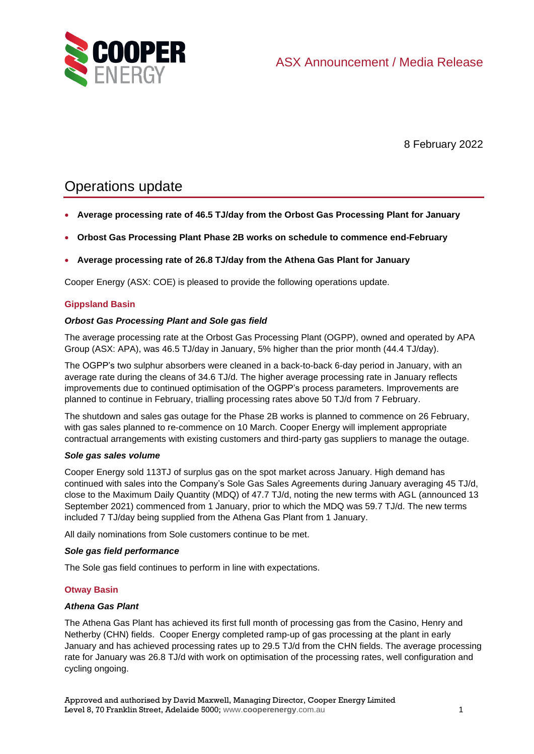

8 February 2022

# Operations update

- **Average processing rate of 46.5 TJ/day from the Orbost Gas Processing Plant for January**
- **Orbost Gas Processing Plant Phase 2B works on schedule to commence end-February**
- **Average processing rate of 26.8 TJ/day from the Athena Gas Plant for January**

Cooper Energy (ASX: COE) is pleased to provide the following operations update.

## **Gippsland Basin**

## *Orbost Gas Processing Plant and Sole gas field*

The average processing rate at the Orbost Gas Processing Plant (OGPP), owned and operated by APA Group (ASX: APA), was 46.5 TJ/day in January, 5% higher than the prior month (44.4 TJ/day).

The OGPP's two sulphur absorbers were cleaned in a back-to-back 6-day period in January, with an average rate during the cleans of 34.6 TJ/d. The higher average processing rate in January reflects improvements due to continued optimisation of the OGPP's process parameters. Improvements are planned to continue in February, trialling processing rates above 50 TJ/d from 7 February.

The shutdown and sales gas outage for the Phase 2B works is planned to commence on 26 February, with gas sales planned to re-commence on 10 March. Cooper Energy will implement appropriate contractual arrangements with existing customers and third-party gas suppliers to manage the outage.

#### *Sole gas sales volume*

Cooper Energy sold 113TJ of surplus gas on the spot market across January. High demand has continued with sales into the Company's Sole Gas Sales Agreements during January averaging 45 TJ/d, close to the Maximum Daily Quantity (MDQ) of 47.7 TJ/d, noting the new terms with AGL (announced 13 September 2021) commenced from 1 January, prior to which the MDQ was 59.7 TJ/d. The new terms included 7 TJ/day being supplied from the Athena Gas Plant from 1 January.

All daily nominations from Sole customers continue to be met.

## *Sole gas field performance*

The Sole gas field continues to perform in line with expectations.

## **Otway Basin**

#### *Athena Gas Plant*

The Athena Gas Plant has achieved its first full month of processing gas from the Casino, Henry and Netherby (CHN) fields. Cooper Energy completed ramp-up of gas processing at the plant in early January and has achieved processing rates up to 29.5 TJ/d from the CHN fields. The average processing rate for January was 26.8 TJ/d with work on optimisation of the processing rates, well configuration and cycling ongoing.